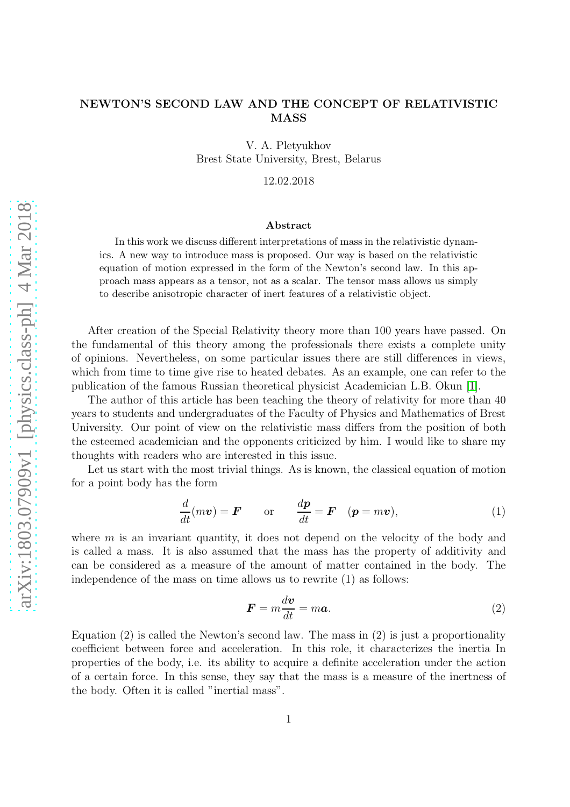## NEWTON'S SECOND LAW AND THE CONCEPT OF RELATIVISTIC MASS

V. A. Pletyukhov Brest State University, Brest, Belarus

12.02.2018

#### Abstract

In this work we discuss different interpretations of mass in the relativistic dynamics. A new way to introduce mass is proposed. Our way is based on the relativistic equation of motion expressed in the form of the Newton's second law. In this approach mass appears as a tensor, not as a scalar. The tensor mass allows us simply to describe anisotropic character of inert features of a relativistic object.

After creation of the Special Relativity theory more than 100 years have passed. On the fundamental of this theory among the professionals there exists a complete unity of opinions. Nevertheless, on some particular issues there are still differences in views, which from time to time give rise to heated debates. As an example, one can refer to the publication of the famous Russian theoretical physicist Academician L.B. Okun [\[1\]](#page-9-0).

The author of this article has been teaching the theory of relativity for more than 40 years to students and undergraduates of the Faculty of Physics and Mathematics of Brest University. Our point of view on the relativistic mass differs from the position of both the esteemed academician and the opponents criticized by him. I would like to share my thoughts with readers who are interested in this issue.

Let us start with the most trivial things. As is known, the classical equation of motion for a point body has the form

$$
\frac{d}{dt}(m\boldsymbol{v}) = \boldsymbol{F} \qquad \text{or} \qquad \frac{d\boldsymbol{p}}{dt} = \boldsymbol{F} \quad (\boldsymbol{p} = m\boldsymbol{v}), \tag{1}
$$

where  $m$  is an invariant quantity, it does not depend on the velocity of the body and is called a mass. It is also assumed that the mass has the property of additivity and can be considered as a measure of the amount of matter contained in the body. The independence of the mass on time allows us to rewrite (1) as follows:

$$
F = m \frac{dv}{dt} = m a. \tag{2}
$$

Equation (2) is called the Newton's second law. The mass in (2) is just a proportionality coefficient between force and acceleration. In this role, it characterizes the inertia In properties of the body, i.e. its ability to acquire a definite acceleration under the action of a certain force. In this sense, they say that the mass is a measure of the inertness of the body. Often it is called "inertial mass".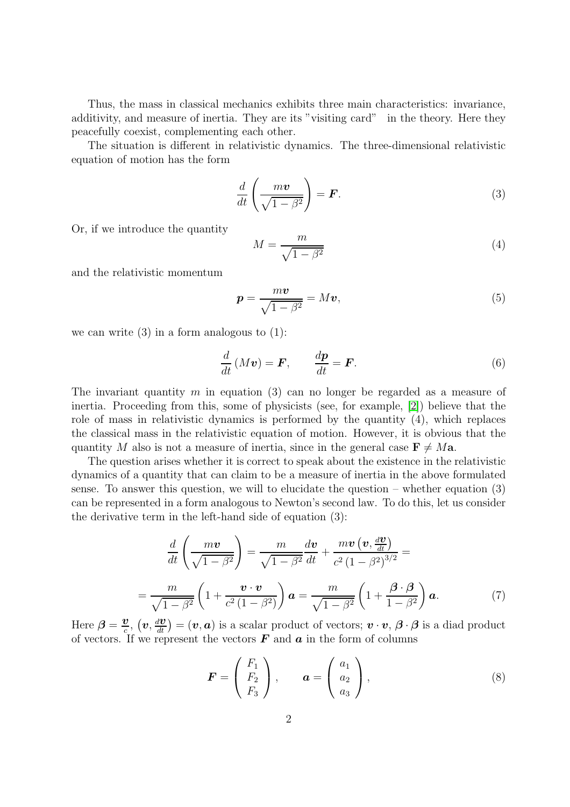Thus, the mass in classical mechanics exhibits three main characteristics: invariance, additivity, and measure of inertia. They are its "visiting card" in the theory. Here they peacefully coexist, complementing each other.

The situation is different in relativistic dynamics. The three-dimensional relativistic equation of motion has the form

$$
\frac{d}{dt}\left(\frac{m\boldsymbol{v}}{\sqrt{1-\beta^2}}\right) = \boldsymbol{F}.\tag{3}
$$

Or, if we introduce the quantity

$$
M = \frac{m}{\sqrt{1 - \beta^2}}\tag{4}
$$

and the relativistic momentum

$$
p = \frac{mv}{\sqrt{1 - \beta^2}} = Mv,
$$
\n(5)

we can write  $(3)$  in a form analogous to  $(1)$ :

$$
\frac{d}{dt}(Mv) = \boldsymbol{F}, \qquad \frac{d\boldsymbol{p}}{dt} = \boldsymbol{F}.
$$
\n(6)

The invariant quantity m in equation (3) can no longer be regarded as a measure of inertia. Proceeding from this, some of physicists (see, for example, [\[2\]](#page-9-1)) believe that the role of mass in relativistic dynamics is performed by the quantity (4), which replaces the classical mass in the relativistic equation of motion. However, it is obvious that the quantity M also is not a measure of inertia, since in the general case  $\mathbf{F} \neq M\mathbf{a}$ .

The question arises whether it is correct to speak about the existence in the relativistic dynamics of a quantity that can claim to be a measure of inertia in the above formulated sense. To answer this question, we will to elucidate the question – whether equation (3) can be represented in a form analogous to Newton's second law. To do this, let us consider the derivative term in the left-hand side of equation (3):

$$
\frac{d}{dt}\left(\frac{mv}{\sqrt{1-\beta^2}}\right) = \frac{m}{\sqrt{1-\beta^2}}\frac{d\mathbf{v}}{dt} + \frac{m\mathbf{v}\left(\mathbf{v}, \frac{d\mathbf{v}}{dt}\right)}{c^2\left(1-\beta^2\right)^{3/2}} =
$$
\n
$$
= \frac{m}{\sqrt{1-\beta^2}}\left(1 + \frac{\mathbf{v}\cdot\mathbf{v}}{c^2\left(1-\beta^2\right)}\right)\mathbf{a} = \frac{m}{\sqrt{1-\beta^2}}\left(1 + \frac{\beta\cdot\beta}{1-\beta^2}\right)\mathbf{a}.
$$
\n(7)

Here  $\beta = \frac{v}{c}$  $\frac{\partial v}{\partial c}$ ,  $(v, \frac{dv}{dt}) = (v, a)$  is a scalar product of vectors;  $v \cdot v$ ,  $\beta \cdot \beta$  is a diad product of vectors. If we represent the vectors  $\bf{F}$  and  $\bf{a}$  in the form of columns

$$
\boldsymbol{F} = \begin{pmatrix} F_1 \\ F_2 \\ F_3 \end{pmatrix}, \qquad \boldsymbol{a} = \begin{pmatrix} a_1 \\ a_2 \\ a_3 \end{pmatrix}, \tag{8}
$$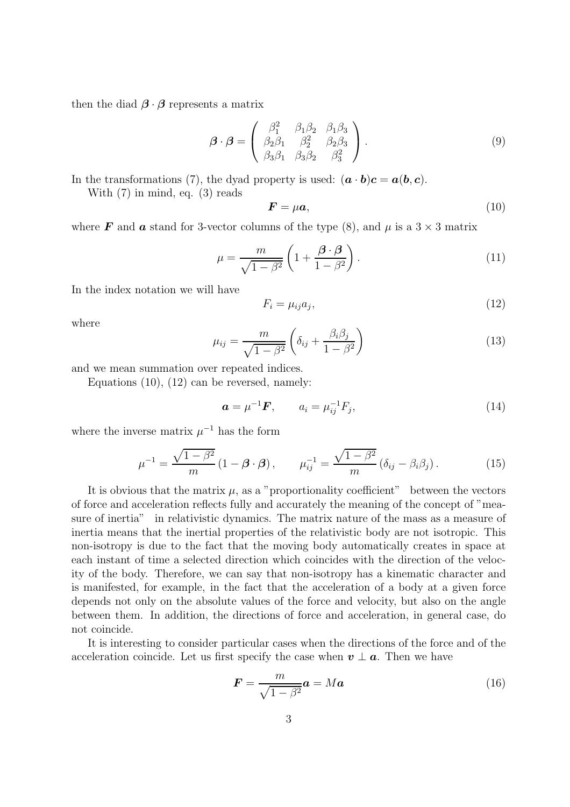then the diad  $\beta \cdot \beta$  represents a matrix

$$
\boldsymbol{\beta} \cdot \boldsymbol{\beta} = \begin{pmatrix} \beta_1^2 & \beta_1 \beta_2 & \beta_1 \beta_3 \\ \beta_2 \beta_1 & \beta_2^2 & \beta_2 \beta_3 \\ \beta_3 \beta_1 & \beta_3 \beta_2 & \beta_3^2 \end{pmatrix} . \tag{9}
$$

In the transformations (7), the dyad property is used:  $(\mathbf{a} \cdot \mathbf{b})\mathbf{c} = \mathbf{a}(\mathbf{b}, \mathbf{c})$ .

With (7) in mind, eq. (3) reads

$$
\boldsymbol{F} = \mu \boldsymbol{a},\tag{10}
$$

where **F** and **a** stand for 3-vector columns of the type (8), and  $\mu$  is a 3  $\times$  3 matrix

$$
\mu = \frac{m}{\sqrt{1 - \beta^2}} \left( 1 + \frac{\beta \cdot \beta}{1 - \beta^2} \right). \tag{11}
$$

In the index notation we will have

$$
F_i = \mu_{ij} a_j,\tag{12}
$$

where

$$
\mu_{ij} = \frac{m}{\sqrt{1 - \beta^2}} \left( \delta_{ij} + \frac{\beta_i \beta_j}{1 - \beta^2} \right) \tag{13}
$$

and we mean summation over repeated indices.

Equations  $(10)$ ,  $(12)$  can be reversed, namely:

$$
a = \mu^{-1} F, \qquad a_i = \mu_{ij}^{-1} F_j,
$$
\n(14)

where the inverse matrix  $\mu^{-1}$  has the form

$$
\mu^{-1} = \frac{\sqrt{1-\beta^2}}{m} \left(1-\boldsymbol{\beta}\cdot\boldsymbol{\beta}\right), \qquad \mu_{ij}^{-1} = \frac{\sqrt{1-\beta^2}}{m} \left(\delta_{ij} - \beta_i\beta_j\right). \tag{15}
$$

It is obvious that the matrix  $\mu$ , as a "proportionality coefficient" between the vectors of force and acceleration reflects fully and accurately the meaning of the concept of "measure of inertia" in relativistic dynamics. The matrix nature of the mass as a measure of inertia means that the inertial properties of the relativistic body are not isotropic. This non-isotropy is due to the fact that the moving body automatically creates in space at each instant of time a selected direction which coincides with the direction of the velocity of the body. Therefore, we can say that non-isotropy has a kinematic character and is manifested, for example, in the fact that the acceleration of a body at a given force depends not only on the absolute values of the force and velocity, but also on the angle between them. In addition, the directions of force and acceleration, in general case, do not coincide.

It is interesting to consider particular cases when the directions of the force and of the acceleration coincide. Let us first specify the case when  $v \perp a$ . Then we have

$$
\boldsymbol{F} = \frac{m}{\sqrt{1 - \beta^2}} \boldsymbol{a} = M \boldsymbol{a} \tag{16}
$$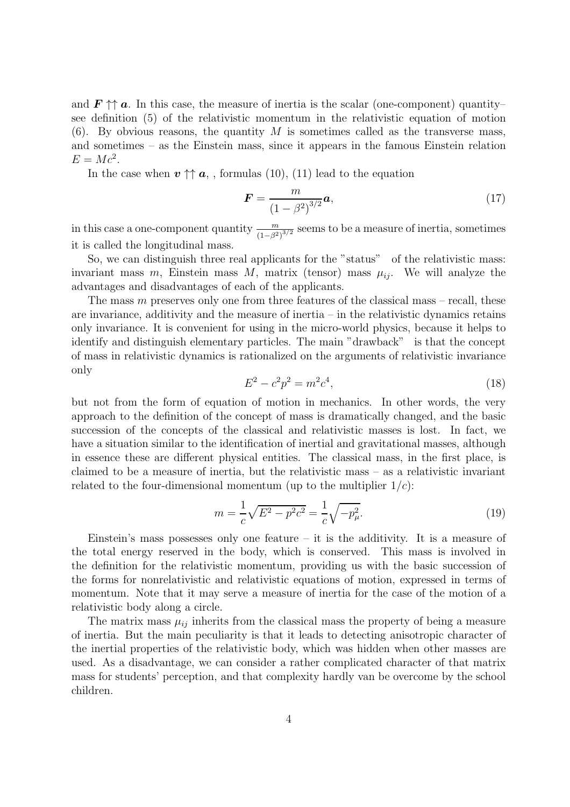and  $\mathbf{F} \uparrow \uparrow \mathbf{a}$ . In this case, the measure of inertia is the scalar (one-component) quantity– see definition (5) of the relativistic momentum in the relativistic equation of motion  $(6)$ . By obvious reasons, the quantity M is sometimes called as the transverse mass, and sometimes – as the Einstein mass, since it appears in the famous Einstein relation  $E = Mc^2$ .

In the case when  $v \uparrow a$ , formulas (10), (11) lead to the equation

$$
F = \frac{m}{(1 - \beta^2)^{3/2}} a,
$$
\n(17)

in this case a one-component quantity  $\frac{m}{(1-\beta^2)^{3/2}}$  seems to be a measure of inertia, sometimes it is called the longitudinal mass.

So, we can distinguish three real applicants for the "status" of the relativistic mass: invariant mass  $m$ , Einstein mass  $M$ , matrix (tensor) mass  $\mu_{ij}$ . We will analyze the advantages and disadvantages of each of the applicants.

The mass  $m$  preserves only one from three features of the classical mass – recall, these are invariance, additivity and the measure of inertia – in the relativistic dynamics retains only invariance. It is convenient for using in the micro-world physics, because it helps to identify and distinguish elementary particles. The main "drawback" is that the concept of mass in relativistic dynamics is rationalized on the arguments of relativistic invariance only

$$
E^2 - c^2 p^2 = m^2 c^4,\tag{18}
$$

but not from the form of equation of motion in mechanics. In other words, the very approach to the definition of the concept of mass is dramatically changed, and the basic succession of the concepts of the classical and relativistic masses is lost. In fact, we have a situation similar to the identification of inertial and gravitational masses, although in essence these are different physical entities. The classical mass, in the first place, is claimed to be a measure of inertia, but the relativistic mass – as a relativistic invariant related to the four-dimensional momentum (up to the multiplier  $1/c$ ):

$$
m = \frac{1}{c}\sqrt{E^2 - p^2c^2} = \frac{1}{c}\sqrt{-p_\mu^2}.
$$
\n(19)

Einstein's mass possesses only one feature  $-$  it is the additivity. It is a measure of the total energy reserved in the body, which is conserved. This mass is involved in the definition for the relativistic momentum, providing us with the basic succession of the forms for nonrelativistic and relativistic equations of motion, expressed in terms of momentum. Note that it may serve a measure of inertia for the case of the motion of a relativistic body along a circle.

The matrix mass  $\mu_{ij}$  inherits from the classical mass the property of being a measure of inertia. But the main peculiarity is that it leads to detecting anisotropic character of the inertial properties of the relativistic body, which was hidden when other masses are used. As a disadvantage, we can consider a rather complicated character of that matrix mass for students' perception, and that complexity hardly van be overcome by the school children.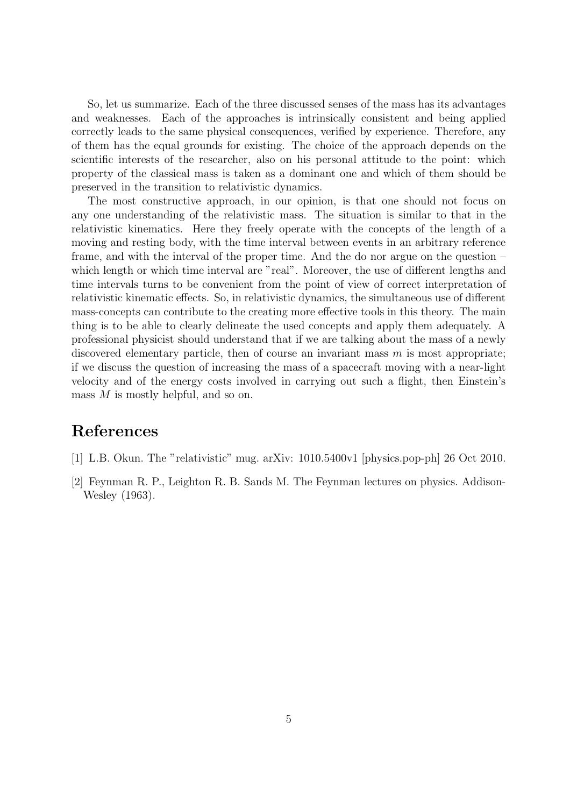So, let us summarize. Each of the three discussed senses of the mass has its advantages and weaknesses. Each of the approaches is intrinsically consistent and being applied correctly leads to the same physical consequences, verified by experience. Therefore, any of them has the equal grounds for existing. The choice of the approach depends on the scientific interests of the researcher, also on his personal attitude to the point: which property of the classical mass is taken as a dominant one and which of them should be preserved in the transition to relativistic dynamics.

The most constructive approach, in our opinion, is that one should not focus on any one understanding of the relativistic mass. The situation is similar to that in the relativistic kinematics. Here they freely operate with the concepts of the length of a moving and resting body, with the time interval between events in an arbitrary reference frame, and with the interval of the proper time. And the do nor argue on the question – which length or which time interval are "real". Moreover, the use of different lengths and time intervals turns to be convenient from the point of view of correct interpretation of relativistic kinematic effects. So, in relativistic dynamics, the simultaneous use of different mass-concepts can contribute to the creating more effective tools in this theory. The main thing is to be able to clearly delineate the used concepts and apply them adequately. A professional physicist should understand that if we are talking about the mass of a newly discovered elementary particle, then of course an invariant mass  $m$  is most appropriate; if we discuss the question of increasing the mass of a spacecraft moving with a near-light velocity and of the energy costs involved in carrying out such a flight, then Einstein's mass M is mostly helpful, and so on.

# References

- [1] L.B. Okun. The "relativistic" mug. arXiv: 1010.5400v1 [physics.pop-ph] 26 Oct 2010.
- [2] Feynman R. P., Leighton R. B. Sands M. The Feynman lectures on physics. Addison-Wesley (1963).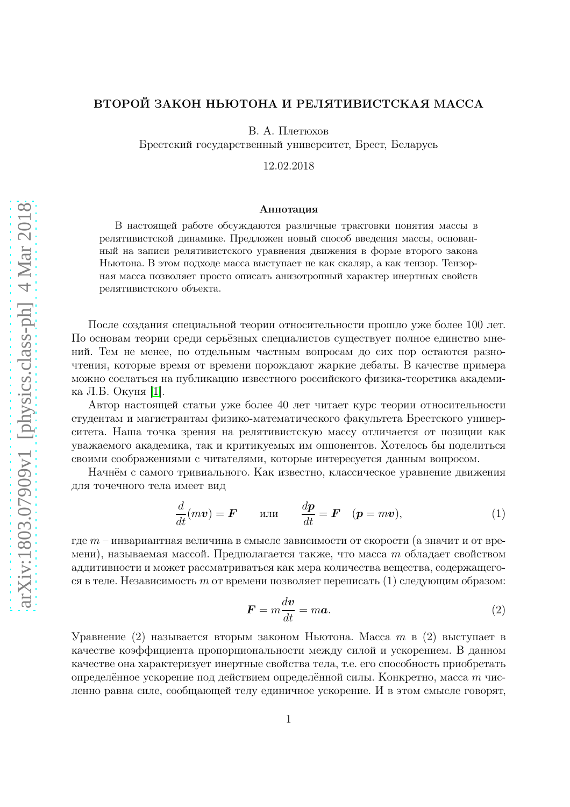## ВТОРОЙ ЗАКОН НЬЮТОНА И РЕЛЯТИВИСТСКАЯ МАССА

В. А. Плетюхов

Брестский государственный университет, Брест, Беларусь

12.02.2018

#### Аннотация

В настоящей работе обсуждаются различные трактовки понятия массы в релятивистской динамике. Предложен новый способ введения массы, основанный на записи релятивистского уравнения движения в форме второго закона Ньютона. В этом подходе масса выступает не как скаляр, а как тензор. Тензорная масса позволяет просто описать анизотропный характер инертных свойств релятивистского объекта.

После создания специальной теории относительности прошло уже более 100 лет. По основам теории среди серьёзных специалистов существует полное единство мнений. Тем не менее, по отдельным частным вопросам до сих пор остаются разночтения, которые время от времени порождают жаркие дебаты. В качестве примера можно сослаться на публикацию известного российского физика-теоретика академика Л.Б. Окуня [\[1\]](#page-9-0).

Автор настоящей статьи уже более 40 лет читает курс теории относительности студентам и магистрантам физико-математического факультета Брестского университета. Наша точка зрения на релятивистскую массу отличается от позиции как уважаемого академика, так и критикуемых им оппонентов. Хотелось бы поделиться своими соображениями с читателями, которые интересуется данным вопросом.

Начнём с самого тривиального. Как известно, классическое уравнение движения для точечного тела имеет вид

$$
\frac{d}{dt}(m\boldsymbol{v}) = \boldsymbol{F} \qquad \text{with} \qquad \frac{d\boldsymbol{p}}{dt} = \boldsymbol{F} \quad (\boldsymbol{p} = m\boldsymbol{v}), \tag{1}
$$

где  $m$  – инвариантная величина в смысле зависимости от скорости (а значит и от времени), называемая массой. Предполагается также, что масса *m* обладает свойством аддитивности и может рассматриваться как мера количества вещества, содержащегося в теле. Независимость m от времени позволяет переписать  $(1)$  следующим образом:

$$
F = m \frac{dv}{dt} = m a. \tag{2}
$$

Уравнение (2) называется вторым законом Ньютона. Масса m в (2) выступает в качестве коэффициента пропорциональности между силой и ускорением. В данном качестве она характеризует инертные свойства тела, т.е. его способность приобретать определённое ускорение под действием определённой силы. Конкретно, масса m численно равна силе, сообщающей телу единичное ускорение. И в этом смысле говорят,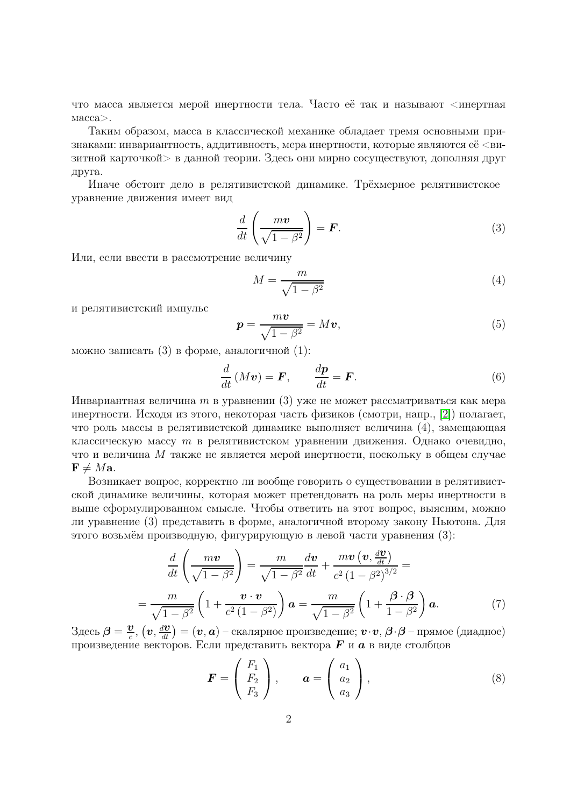что масса является мерой инертности тела. Часто её так и называют <инертная  $macca$ .

Таким образом, масса в классической механике обладает тремя основными признаками: инвариантность, аддитивность, мера инертности, которые являются её <визитной карточкой > в данной теории. Здесь они мирно сосуществуют, дополняя друг друга.

Иначе обстоит дело в релятивистской динамике. Трёхмерное релятивистское уравнение движения имеет вид

$$
\frac{d}{dt}\left(\frac{m\boldsymbol{v}}{\sqrt{1-\beta^2}}\right) = \boldsymbol{F}.\tag{3}
$$

Или, если ввести в рассмотрение величину

$$
M = \frac{m}{\sqrt{1 - \beta^2}}\tag{4}
$$

и релятивистский импульс

$$
p = \frac{m\upsilon}{\sqrt{1 - \beta^2}} = M\upsilon,\tag{5}
$$

можно записать (3) в форме, аналогичной (1):

$$
\frac{d}{dt}(Mv) = \boldsymbol{F}, \qquad \frac{d\boldsymbol{p}}{dt} = \boldsymbol{F}.
$$
\n(6)

Инвариантная величина *m* в уравнении (3) уже не может рассматриваться как мера инертности. Исходя из этого, некоторая часть физиков (смотри, напр., [2]) полагает, что роль массы в релятивистской динамике выполняет величина (4), замещающая классическую массу  $m$  в релятивистском уравнении движения. Однако очевидно, что и величина М также не является мерой инертности, поскольку в общем случае  $\mathbf{F} \neq M\mathbf{a}$ .

Возникает вопрос, корректно ли вообще говорить о существовании в релятивистской динамике величины, которая может претендовать на роль меры инертности в выше сформулированном смысле. Чтобы ответить на этот вопрос, выясним, можно ли уравнение (3) представить в форме, аналогичной второму закону Ньютона. Для этого возьмём производную, фигурирующую в левой части уравнения (3):

$$
\frac{d}{dt}\left(\frac{m\boldsymbol{v}}{\sqrt{1-\beta^2}}\right) = \frac{m}{\sqrt{1-\beta^2}}\frac{d\boldsymbol{v}}{dt} + \frac{m\boldsymbol{v}\left(\boldsymbol{v}, \frac{d\boldsymbol{v}}{dt}\right)}{c^2\left(1-\beta^2\right)^{3/2}} =
$$
\n
$$
= \frac{m}{\sqrt{1-\beta^2}}\left(1 + \frac{\boldsymbol{v}\cdot\boldsymbol{v}}{c^2\left(1-\beta^2\right)}\right)\boldsymbol{a} = \frac{m}{\sqrt{1-\beta^2}}\left(1 + \frac{\boldsymbol{\beta}\cdot\boldsymbol{\beta}}{1-\beta^2}\right)\boldsymbol{a}.
$$
\n(7)

Здесь  $\beta = \frac{v}{c}$ ,  $(v, \frac{dv}{dt}) = (v, a)$  – скалярное произведение;  $v \cdot v$ ,  $\beta \cdot \beta$  – прямое (диадное) произведение векторов. Если представить вектора  $\bm{F}$  и  $\bm{a}$  в виде столбцов

$$
\boldsymbol{F} = \begin{pmatrix} F_1 \\ F_2 \\ F_3 \end{pmatrix}, \qquad \boldsymbol{a} = \begin{pmatrix} a_1 \\ a_2 \\ a_3 \end{pmatrix}, \tag{8}
$$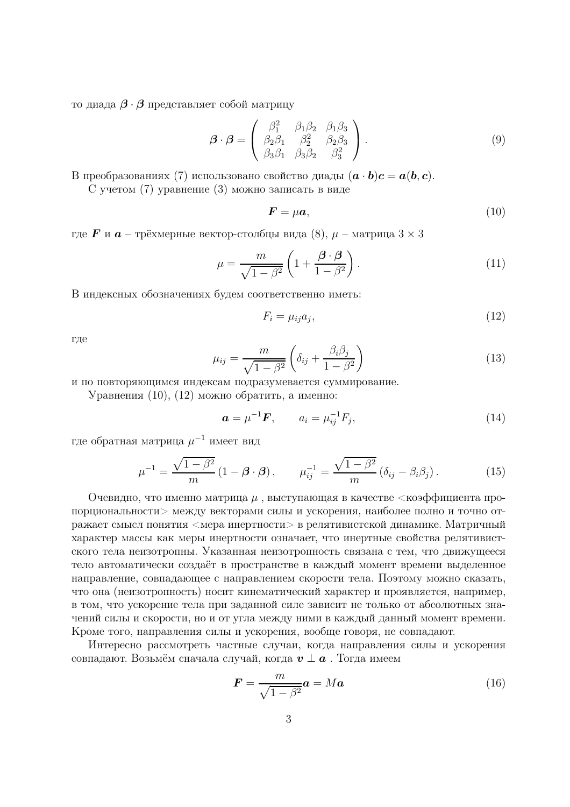то диада  $\beta \cdot \beta$  представляет собой матрицу

$$
\boldsymbol{\beta} \cdot \boldsymbol{\beta} = \begin{pmatrix} \beta_1^2 & \beta_1 \beta_2 & \beta_1 \beta_3 \\ \beta_2 \beta_1 & \beta_2^2 & \beta_2 \beta_3 \\ \beta_3 \beta_1 & \beta_3 \beta_2 & \beta_3^2 \end{pmatrix} . \tag{9}
$$

В преобразованиях (7) использовано свойство диады  $(a \cdot b)c = a(b, c)$ .

С учетом (7) уравнение (3) можно записать в виде

$$
\boldsymbol{F} = \mu \boldsymbol{a},\tag{10}
$$

где  $\bm{F}$  и  $\bm{a}$  – трёхмерные вектор-столбцы вида (8),  $\mu$  – матрица  $3 \times 3$ 

$$
\mu = \frac{m}{\sqrt{1 - \beta^2}} \left( 1 + \frac{\beta \cdot \beta}{1 - \beta^2} \right). \tag{11}
$$

В индексных обозначениях будем соответственно иметь:

$$
F_i = \mu_{ij} a_j,\tag{12}
$$

где

$$
\mu_{ij} = \frac{m}{\sqrt{1 - \beta^2}} \left( \delta_{ij} + \frac{\beta_i \beta_j}{1 - \beta^2} \right) \tag{13}
$$

и по повторяющимся индексам подразумевается суммирование.

Уравнения (10), (12) можно обратить, а именно:

$$
a = \mu^{-1} F, \qquad a_i = \mu_{ij}^{-1} F_j,\tag{14}
$$

где обратная матрица  $\mu^{-1}$  имеет вид

$$
\mu^{-1} = \frac{\sqrt{1-\beta^2}}{m} \left(1-\boldsymbol{\beta}\cdot\boldsymbol{\beta}\right), \qquad \mu_{ij}^{-1} = \frac{\sqrt{1-\beta^2}}{m} \left(\delta_{ij} - \beta_i\beta_j\right). \tag{15}
$$

Очевидно, что именно матрица  $\mu$ , выступающая в качестве  $\lt$ коэффициента пропорциональности> между векторами силы и ускорения, наиболее полно и точно отражает смысл понятия <мера инертности> в релятивистской динамике. Матричный характер массы как меры инертности означает, что инертные свойства релятивистского тела неизотропны. Указанная неизотропность связана с тем, что движущееся тело автоматически создаёт в пространстве в каждый момент времени выделенное направление, совпадающее с направлением скорости тела. Поэтому можно сказать, что она (неизотропность) носит кинематический характер и проявляется, например, в том, что ускорение тела при заданной силе зависит не только от абсолютных значений силы и скорости, но и от угла между ними в каждый данный момент времени. Кроме того, направления силы и ускорения, вообще говоря, не совпадают.

Интересно рассмотреть частные случаи, когда направления силы и ускорения совпадают. Возьмём сначала случай, когда  $v \perp a$ . Тогда имеем

$$
\boldsymbol{F} = \frac{m}{\sqrt{1 - \beta^2}} \boldsymbol{a} = M \boldsymbol{a} \tag{16}
$$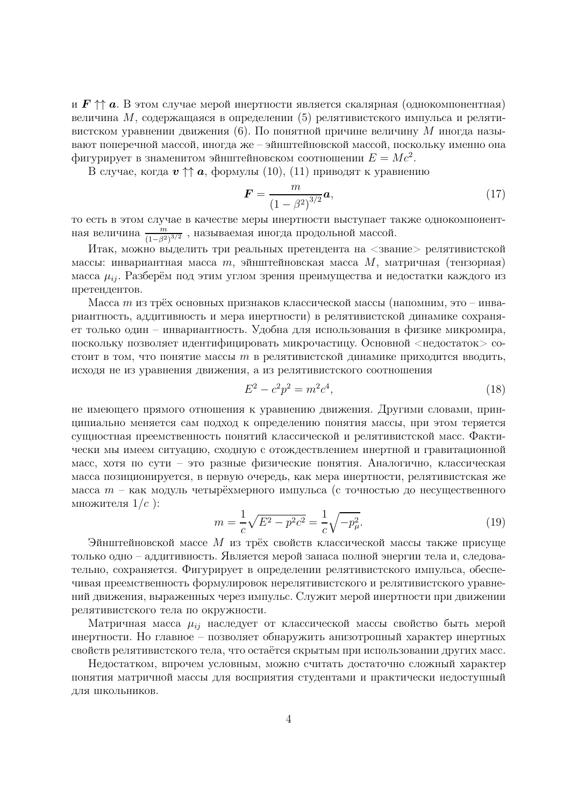и  $F \uparrow a$ . В этом случае мерой инертности является скалярная (однокомпонентная) величина М, содержащаяся в определении (5) релятивистского импульса и релятивистском уравнении движения (6). По понятной причине величину  $M$  иногда называют поперечной массой, иногда же - эйнштейновской массой, поскольку именно она фигурирует в знаменитом эйнштейновском соотношении  $E = Mc^2$ .

В случае, когда  $v \uparrow a$ , формулы (10), (11) приводят к уравнению

$$
F = \frac{m}{(1 - \beta^2)^{3/2}} a,
$$
\n(17)

то есть в этом случае в качестве меры инертности выступает также однокомпонентная величина  $\frac{m}{(1-\beta^2)^{3/2}}$ , называемая иногда продольной массой.

Итак, можно выделить три реальных претендента на <звание> релятивистской массы: инвариантная масса  $m$ , эйнштейновская масса  $M$ , матричная (тензорная) масса  $\mu_{ij}$ . Разберём под этим углом зрения преимущества и недостатки каждого из претендентов.

Масса *тиз* трёх основных признаков классической массы (напомним, это – инвариантность, аддитивность и мера инертности) в релятивистской динамике сохраняет только один - инвариантность. Удобна для использования в физике микромира, поскольку позволяет идентифицировать микрочастицу. Основной <недостаток > состоит в том, что понятие массы  $m$  в релятивистской динамике приходится вводить, исходя не из уравнения движения, а из релятивистского соотношения

$$
E^2 - c^2 p^2 = m^2 c^4,\tag{18}
$$

не имеющего прямого отношения к уравнению движения. Другими словами, принципиально меняется сам подход к определению понятия массы, при этом теряется сущностная преемственность понятий классической и релятивистской масс. Фактически мы имеем ситуацию, сходную с отождествлением инертной и гравитационной масс, хотя по сути - это разные физические понятия. Аналогично, классическая масса позиционируется, в первую очередь, как мера инертности, релятивистская же масса  $m$  – как модуль четырёхмерного импульса (с точностью до несущественного множителя  $1/c$  ):

$$
m = \frac{1}{c}\sqrt{E^2 - p^2c^2} = \frac{1}{c}\sqrt{-p_\mu^2}.
$$
\n(19)

Эйнштейновской массе  $M$  из трёх свойств классической массы также присуще только одно – аддитивность. Является мерой запаса полной энергии тела и, следовательно, сохраняется. Фигурирует в определении релятивистского импульса, обеспечивая преемственность формулировок нерелятивистского и релятивистского уравнений движения, выраженных через импульс. Служит мерой инертности при движении релятивистского тела по окружности.

Матричная масса  $\mu_{ij}$  наследует от классической массы свойство быть мерой инертности. Но главное – позволяет обнаружить анизотропный характер инертных свойств релятивистского тела, что остаётся скрытым при использовании других масс.

Недостатком, впрочем условным, можно считать достаточно сложный характер понятия матричной массы для восприятия студентами и практически недоступный ДЛЯ ШКОЛЬНИКОВ.